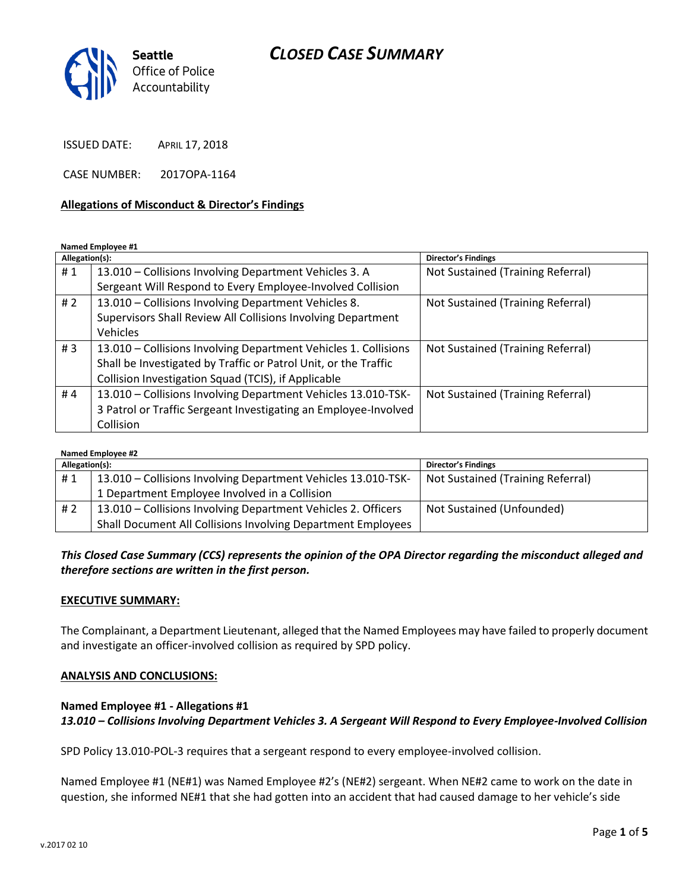# *CLOSED CASE SUMMARY*



ISSUED DATE: APRIL 17, 2018

CASE NUMBER: 2017OPA-1164

#### **Allegations of Misconduct & Director's Findings**

**Named Employee #1**

| Allegation(s): |                                                                 | <b>Director's Findings</b>        |
|----------------|-----------------------------------------------------------------|-----------------------------------|
| #1             | 13.010 - Collisions Involving Department Vehicles 3. A          | Not Sustained (Training Referral) |
|                | Sergeant Will Respond to Every Employee-Involved Collision      |                                   |
| #2             | 13.010 - Collisions Involving Department Vehicles 8.            | Not Sustained (Training Referral) |
|                | Supervisors Shall Review All Collisions Involving Department    |                                   |
|                | Vehicles                                                        |                                   |
| #3             | 13.010 - Collisions Involving Department Vehicles 1. Collisions | Not Sustained (Training Referral) |
|                | Shall be Investigated by Traffic or Patrol Unit, or the Traffic |                                   |
|                | Collision Investigation Squad (TCIS), if Applicable             |                                   |
| #4             | 13.010 - Collisions Involving Department Vehicles 13.010-TSK-   | Not Sustained (Training Referral) |
|                | 3 Patrol or Traffic Sergeant Investigating an Employee-Involved |                                   |
|                | Collision                                                       |                                   |

#### **Named Employee #2**

| Allegation(s): |                                                               | <b>Director's Findings</b>        |
|----------------|---------------------------------------------------------------|-----------------------------------|
| #1             | 13.010 - Collisions Involving Department Vehicles 13.010-TSK- | Not Sustained (Training Referral) |
|                | 1 Department Employee Involved in a Collision                 |                                   |
| #2             | 13.010 – Collisions Involving Department Vehicles 2. Officers | Not Sustained (Unfounded)         |
|                | Shall Document All Collisions Involving Department Employees  |                                   |

### *This Closed Case Summary (CCS) represents the opinion of the OPA Director regarding the misconduct alleged and therefore sections are written in the first person.*

#### **EXECUTIVE SUMMARY:**

The Complainant, a Department Lieutenant, alleged that the Named Employees may have failed to properly document and investigate an officer-involved collision as required by SPD policy.

#### **ANALYSIS AND CONCLUSIONS:**

### **Named Employee #1 - Allegations #1** *13.010 – Collisions Involving Department Vehicles 3. A Sergeant Will Respond to Every Employee-Involved Collision*

SPD Policy 13.010-POL-3 requires that a sergeant respond to every employee-involved collision.

Named Employee #1 (NE#1) was Named Employee #2's (NE#2) sergeant. When NE#2 came to work on the date in question, she informed NE#1 that she had gotten into an accident that had caused damage to her vehicle's side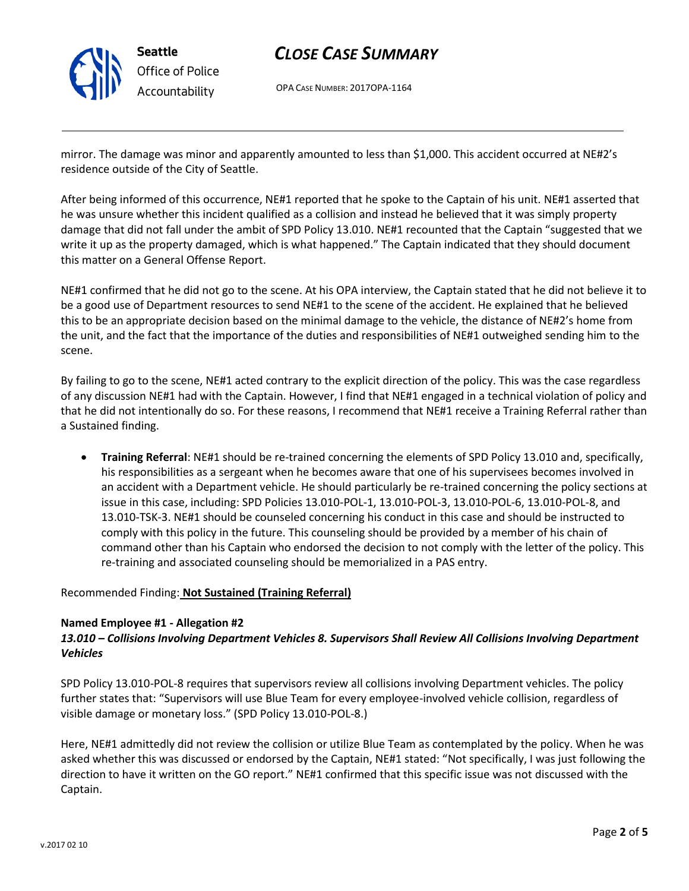

# *CLOSE CASE SUMMARY*

OPA CASE NUMBER: 2017OPA-1164

mirror. The damage was minor and apparently amounted to less than \$1,000. This accident occurred at NE#2's residence outside of the City of Seattle.

After being informed of this occurrence, NE#1 reported that he spoke to the Captain of his unit. NE#1 asserted that he was unsure whether this incident qualified as a collision and instead he believed that it was simply property damage that did not fall under the ambit of SPD Policy 13.010. NE#1 recounted that the Captain "suggested that we write it up as the property damaged, which is what happened." The Captain indicated that they should document this matter on a General Offense Report.

NE#1 confirmed that he did not go to the scene. At his OPA interview, the Captain stated that he did not believe it to be a good use of Department resources to send NE#1 to the scene of the accident. He explained that he believed this to be an appropriate decision based on the minimal damage to the vehicle, the distance of NE#2's home from the unit, and the fact that the importance of the duties and responsibilities of NE#1 outweighed sending him to the scene.

By failing to go to the scene, NE#1 acted contrary to the explicit direction of the policy. This was the case regardless of any discussion NE#1 had with the Captain. However, I find that NE#1 engaged in a technical violation of policy and that he did not intentionally do so. For these reasons, I recommend that NE#1 receive a Training Referral rather than a Sustained finding.

• **Training Referral**: NE#1 should be re-trained concerning the elements of SPD Policy 13.010 and, specifically, his responsibilities as a sergeant when he becomes aware that one of his supervisees becomes involved in an accident with a Department vehicle. He should particularly be re-trained concerning the policy sections at issue in this case, including: SPD Policies 13.010-POL-1, 13.010-POL-3, 13.010-POL-6, 13.010-POL-8, and 13.010-TSK-3. NE#1 should be counseled concerning his conduct in this case and should be instructed to comply with this policy in the future. This counseling should be provided by a member of his chain of command other than his Captain who endorsed the decision to not comply with the letter of the policy. This re-training and associated counseling should be memorialized in a PAS entry.

Recommended Finding: **Not Sustained (Training Referral)**

### **Named Employee #1 - Allegation #2**

## *13.010 – Collisions Involving Department Vehicles 8. Supervisors Shall Review All Collisions Involving Department Vehicles*

SPD Policy 13.010-POL-8 requires that supervisors review all collisions involving Department vehicles. The policy further states that: "Supervisors will use Blue Team for every employee-involved vehicle collision, regardless of visible damage or monetary loss." (SPD Policy 13.010-POL-8.)

Here, NE#1 admittedly did not review the collision or utilize Blue Team as contemplated by the policy. When he was asked whether this was discussed or endorsed by the Captain, NE#1 stated: "Not specifically, I was just following the direction to have it written on the GO report." NE#1 confirmed that this specific issue was not discussed with the Captain.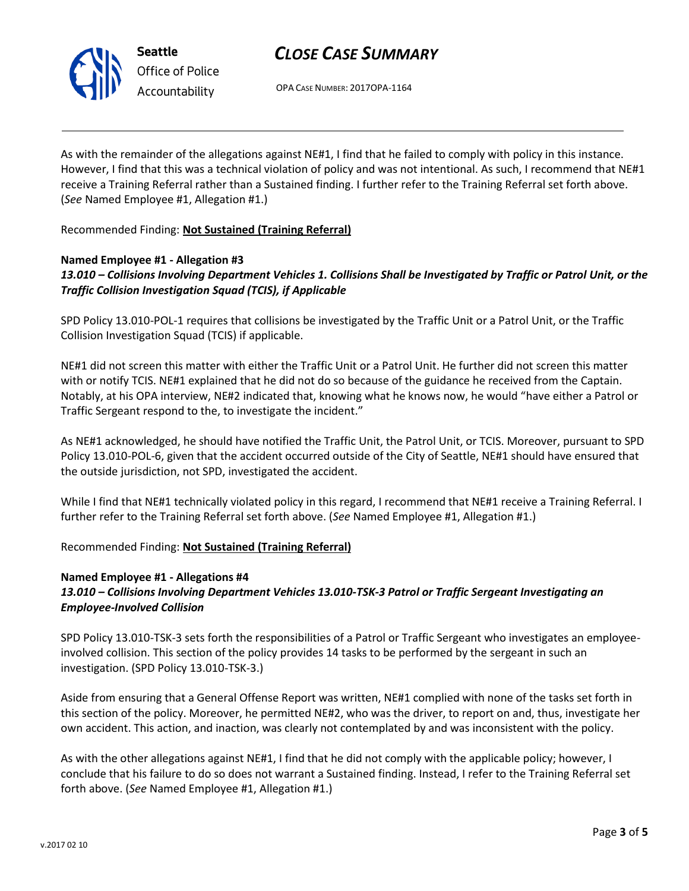

# *CLOSE CASE SUMMARY*

OPA CASE NUMBER: 2017OPA-1164

As with the remainder of the allegations against NE#1, I find that he failed to comply with policy in this instance. However, I find that this was a technical violation of policy and was not intentional. As such, I recommend that NE#1 receive a Training Referral rather than a Sustained finding. I further refer to the Training Referral set forth above. (*See* Named Employee #1, Allegation #1.)

Recommended Finding: **Not Sustained (Training Referral)**

### **Named Employee #1 - Allegation #3**

*13.010 – Collisions Involving Department Vehicles 1. Collisions Shall be Investigated by Traffic or Patrol Unit, or the Traffic Collision Investigation Squad (TCIS), if Applicable*

SPD Policy 13.010-POL-1 requires that collisions be investigated by the Traffic Unit or a Patrol Unit, or the Traffic Collision Investigation Squad (TCIS) if applicable.

NE#1 did not screen this matter with either the Traffic Unit or a Patrol Unit. He further did not screen this matter with or notify TCIS. NE#1 explained that he did not do so because of the guidance he received from the Captain. Notably, at his OPA interview, NE#2 indicated that, knowing what he knows now, he would "have either a Patrol or Traffic Sergeant respond to the, to investigate the incident."

As NE#1 acknowledged, he should have notified the Traffic Unit, the Patrol Unit, or TCIS. Moreover, pursuant to SPD Policy 13.010-POL-6, given that the accident occurred outside of the City of Seattle, NE#1 should have ensured that the outside jurisdiction, not SPD, investigated the accident.

While I find that NE#1 technically violated policy in this regard, I recommend that NE#1 receive a Training Referral. I further refer to the Training Referral set forth above. (*See* Named Employee #1, Allegation #1.)

Recommended Finding: **Not Sustained (Training Referral)**

### **Named Employee #1 - Allegations #4** *13.010 – Collisions Involving Department Vehicles 13.010-TSK-3 Patrol or Traffic Sergeant Investigating an Employee-Involved Collision*

SPD Policy 13.010-TSK-3 sets forth the responsibilities of a Patrol or Traffic Sergeant who investigates an employeeinvolved collision. This section of the policy provides 14 tasks to be performed by the sergeant in such an investigation. (SPD Policy 13.010-TSK-3.)

Aside from ensuring that a General Offense Report was written, NE#1 complied with none of the tasks set forth in this section of the policy. Moreover, he permitted NE#2, who was the driver, to report on and, thus, investigate her own accident. This action, and inaction, was clearly not contemplated by and was inconsistent with the policy.

As with the other allegations against NE#1, I find that he did not comply with the applicable policy; however, I conclude that his failure to do so does not warrant a Sustained finding. Instead, I refer to the Training Referral set forth above. (*See* Named Employee #1, Allegation #1.)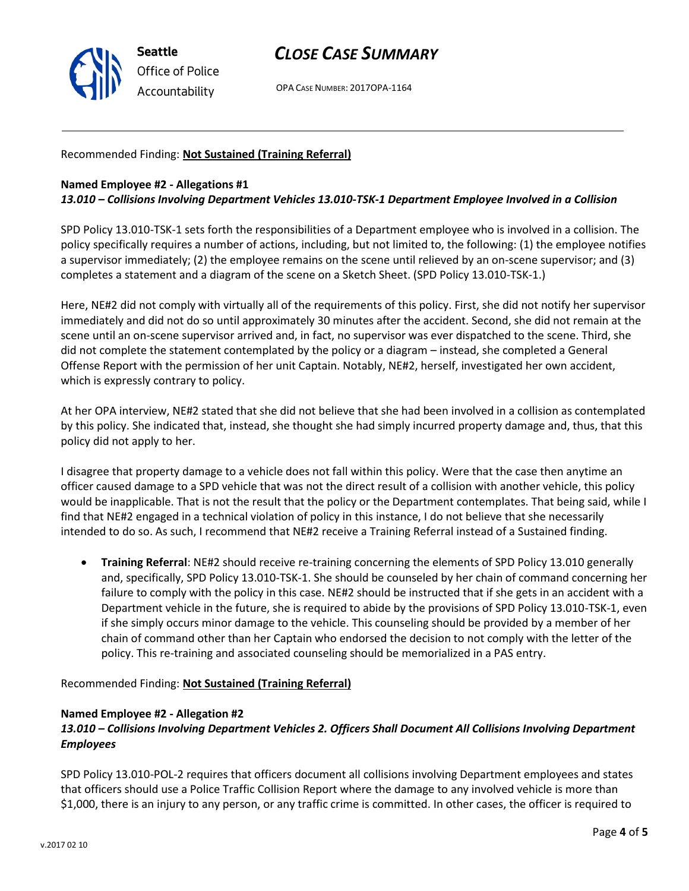

# *CLOSE CASE SUMMARY*

OPA CASE NUMBER: 2017OPA-1164

## Recommended Finding: **Not Sustained (Training Referral)**

#### **Named Employee #2 - Allegations #1** *13.010 – Collisions Involving Department Vehicles 13.010-TSK-1 Department Employee Involved in a Collision*

SPD Policy 13.010-TSK-1 sets forth the responsibilities of a Department employee who is involved in a collision. The policy specifically requires a number of actions, including, but not limited to, the following: (1) the employee notifies a supervisor immediately; (2) the employee remains on the scene until relieved by an on-scene supervisor; and (3) completes a statement and a diagram of the scene on a Sketch Sheet. (SPD Policy 13.010-TSK-1.)

Here, NE#2 did not comply with virtually all of the requirements of this policy. First, she did not notify her supervisor immediately and did not do so until approximately 30 minutes after the accident. Second, she did not remain at the scene until an on-scene supervisor arrived and, in fact, no supervisor was ever dispatched to the scene. Third, she did not complete the statement contemplated by the policy or a diagram – instead, she completed a General Offense Report with the permission of her unit Captain. Notably, NE#2, herself, investigated her own accident, which is expressly contrary to policy.

At her OPA interview, NE#2 stated that she did not believe that she had been involved in a collision as contemplated by this policy. She indicated that, instead, she thought she had simply incurred property damage and, thus, that this policy did not apply to her.

I disagree that property damage to a vehicle does not fall within this policy. Were that the case then anytime an officer caused damage to a SPD vehicle that was not the direct result of a collision with another vehicle, this policy would be inapplicable. That is not the result that the policy or the Department contemplates. That being said, while I find that NE#2 engaged in a technical violation of policy in this instance, I do not believe that she necessarily intended to do so. As such, I recommend that NE#2 receive a Training Referral instead of a Sustained finding.

• **Training Referral**: NE#2 should receive re-training concerning the elements of SPD Policy 13.010 generally and, specifically, SPD Policy 13.010-TSK-1. She should be counseled by her chain of command concerning her failure to comply with the policy in this case. NE#2 should be instructed that if she gets in an accident with a Department vehicle in the future, she is required to abide by the provisions of SPD Policy 13.010-TSK-1, even if she simply occurs minor damage to the vehicle. This counseling should be provided by a member of her chain of command other than her Captain who endorsed the decision to not comply with the letter of the policy. This re-training and associated counseling should be memorialized in a PAS entry.

Recommended Finding: **Not Sustained (Training Referral)**

### **Named Employee #2 - Allegation #2**

## *13.010 – Collisions Involving Department Vehicles 2. Officers Shall Document All Collisions Involving Department Employees*

SPD Policy 13.010-POL-2 requires that officers document all collisions involving Department employees and states that officers should use a Police Traffic Collision Report where the damage to any involved vehicle is more than \$1,000, there is an injury to any person, or any traffic crime is committed. In other cases, the officer is required to